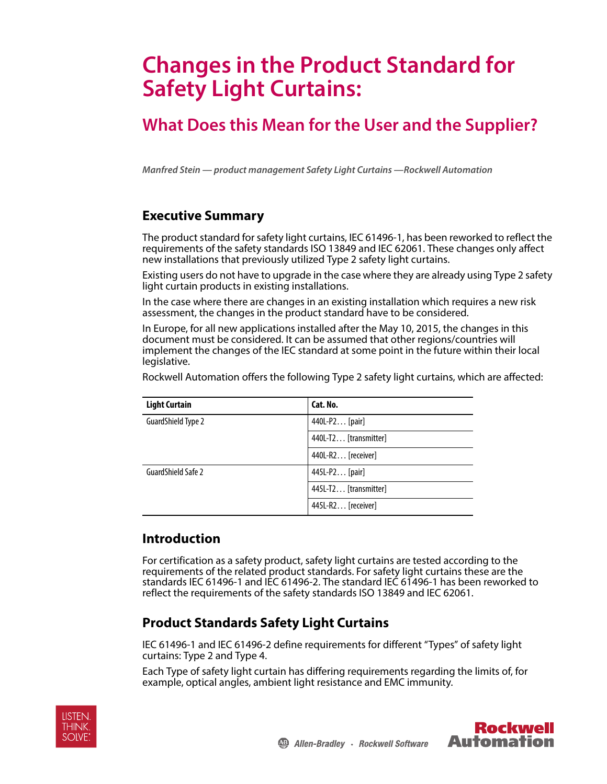# **Changes in the Product Standard for Safety Light Curtains:**

## **What Does this Mean for the User and the Supplier?**

**Manfred Stein — product management Safety Light Curtains —Rockwell Automation**

## **Executive Summary**

The product standard for safety light curtains, IEC 61496-1, has been reworked to reflect the requirements of the safety standards ISO 13849 and IEC 62061. These changes only affect new installations that previously utilized Type 2 safety light curtains.

Existing users do not have to upgrade in the case where they are already using Type 2 safety light curtain products in existing installations.

In the case where there are changes in an existing installation which requires a new risk assessment, the changes in the product standard have to be considered.

In Europe, for all new applications installed after the May 10, 2015, the changes in this document must be considered. It can be assumed that other regions/countries will implement the changes of the IEC standard at some point in the future within their local legislative.

Rockwell Automation offers the following Type 2 safety light curtains, which are affected:

| <b>Light Curtain</b> | Cat. No.              |
|----------------------|-----------------------|
| GuardShield Type 2   | 440L-P2 [pair]        |
|                      | 440L-T2 [transmitter] |
|                      | 440L-R2 [receiver]    |
| GuardShield Safe 2   | 445L-P2 [pair]        |
|                      | 445L-T2 [transmitter] |
|                      | 445L-R2 [receiver]    |

## **Introduction**

For certification as a safety product, safety light curtains are tested according to the requirements of the related product standards. For safety light curtains these are the standards IEC 61496-1 and IEC 61496-2. The standard IEC 61496-1 has been reworked to reflect the requirements of the safety standards ISO 13849 and IEC 62061.

## **Product Standards Safety Light Curtains**

IEC 61496-1 and IEC 61496-2 define requirements for different "Types" of safety light curtains: Type 2 and Type 4.

Each Type of safety light curtain has differing requirements regarding the limits of, for example, optical angles, ambient light resistance and EMC immunity.



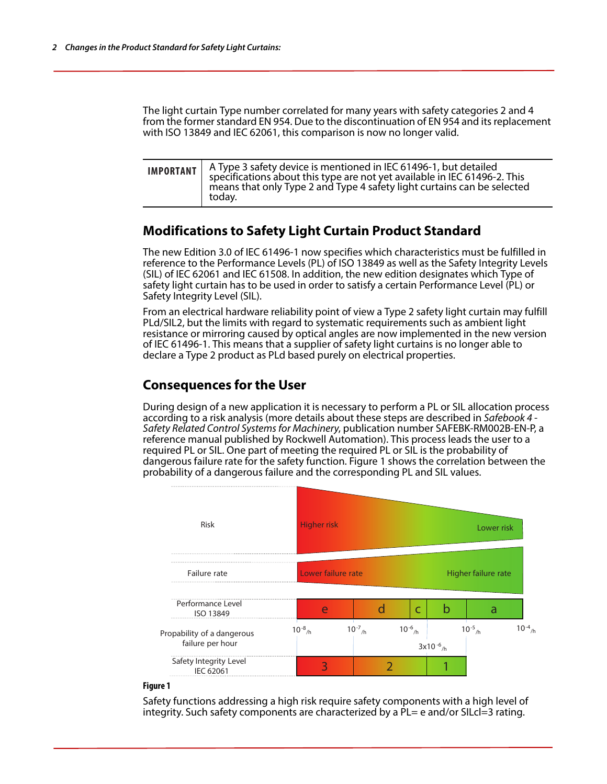The light curtain Type number correlated for many years with safety categories 2 and 4 from the former standard EN 954. Due to the discontinuation of EN 954 and its replacement with ISO 13849 and IEC 62061, this comparison is now no longer valid.

| <b>IMPORTANT</b> $\left\{ \begin{array}{c} A \text{ Type 3 safety device is mentioned in IEC 61496-1, but detailed specification about this type are not yet available in IEC 61496-2. This$<br>means that only Type 2 and Type 4 safety light curtains can be selected<br>todav. |
|-----------------------------------------------------------------------------------------------------------------------------------------------------------------------------------------------------------------------------------------------------------------------------------|
|                                                                                                                                                                                                                                                                                   |

## **Modifications to Safety Light Curtain Product Standard**

The new Edition 3.0 of IEC 61496-1 now specifies which characteristics must be fulfilled in reference to the Performance Levels (PL) of ISO 13849 as well as the Safety Integrity Levels (SIL) of IEC 62061 and IEC 61508. In addition, the new edition designates which Type of safety light curtain has to be used in order to satisfy a certain Performance Level (PL) or Safety Integrity Level (SIL).

From an electrical hardware reliability point of view a Type 2 safety light curtain may fulfill PLd/SIL2, but the limits with regard to systematic requirements such as ambient light resistance or mirroring caused by optical angles are now implemented in the new version of IEC 61496-1. This means that a supplier of safety light curtains is no longer able to declare a Type 2 product as PLd based purely on electrical properties.

## **Consequences for the User**

During design of a new application it is necessary to perform a PL or SIL allocation process according to a risk analysis (more details about these steps are described in Safebook 4 -Safety Related Control Systems for Machinery, publication number SAFEBK-RM002B-EN-P, a reference manual published by Rockwell Automation). This process leads the user to a required PL or SIL. One part of meeting the required PL or SIL is the probability of dangerous failure rate for the safety function. Figure 1 shows the correlation between the probability of a dangerous failure and the corresponding PL and SIL values.



#### **Figure 1**

Safety functions addressing a high risk require safety components with a high level of integrity. Such safety components are characterized by a PL= e and/or SILcl=3 rating.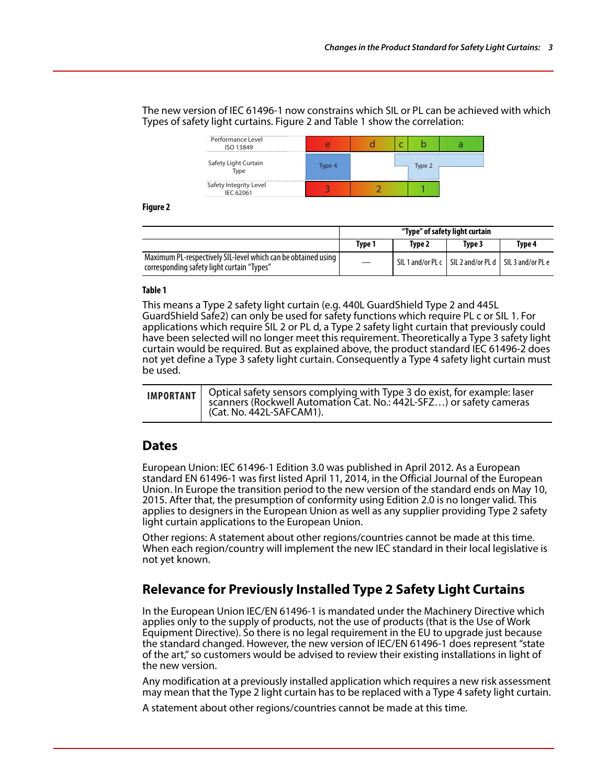The new version of IEC 61496-1 now constrains which SIL or PL can be achieved with which Types of safety light curtains. Figure 2 and Table 1 show the correlation:

| Performance Level<br>ISO 13849      |        |  |        |  |
|-------------------------------------|--------|--|--------|--|
| Safety Light Curtain<br>Type        | Type 4 |  | Type 2 |  |
| Safety Integrity Level<br>IEC 62061 |        |  |        |  |

**Figure 2** 

|                                                                                                             | "Type" of safety light curtain |        |                                                           |        |
|-------------------------------------------------------------------------------------------------------------|--------------------------------|--------|-----------------------------------------------------------|--------|
|                                                                                                             | Tvpe 1                         | Tvpe 2 | Type 3                                                    | Tvpe 4 |
| Maximum PL-respectively SIL-level which can be obtained using<br>corresponding safety light curtain "Types" | $\overline{\phantom{m}}$       |        | SIL 1 and/or PL c   SIL 2 and/or PL d   SIL 3 and/or PL e |        |

#### **Table 1**

This means a Type 2 safety light curtain (e.g. 440L GuardShield Type 2 and 445L GuardShield Safe2) can only be used for safety functions which require PL c or SIL 1. For applications which require SIL 2 or PL d, a Type 2 safety light curtain that previously could have been selected will no longer meet this requirement. Theoretically a Type 3 safety light curtain would be required. But as explained above, the product standard IEC 61496-2 does not yet define a Type 3 safety light curtain. Consequently a Type 4 safety light curtain must be used.

|  | IMPORTANT   Optical safety sensors complying with Type 3 do exist, for example: laser<br>scanners (Rockwell Automation Cat. No.: 442L-SFZ) or safety cameras<br>I (Cat. No. 442L-SAFCAM1). |
|--|--------------------------------------------------------------------------------------------------------------------------------------------------------------------------------------------|
|--|--------------------------------------------------------------------------------------------------------------------------------------------------------------------------------------------|

### **Dates**

European Union: IEC 61496-1 Edition 3.0 was published in April 2012. As a European standard EN 61496-1 was first listed April 11, 2014, in the Official Journal of the European Union. In Europe the transition period to the new version of the standard ends on May 10, 2015. After that, the presumption of conformity using Edition 2.0 is no longer valid. This applies to designers in the European Union as well as any supplier providing Type 2 safety light curtain applications to the European Union.

Other regions: A statement about other regions/countries cannot be made at this time. When each region/country will implement the new IEC standard in their local legislative is not yet known.

## **Relevance for Previously Installed Type 2 Safety Light Curtains**

In the European Union IEC/EN 61496-1 is mandated under the Machinery Directive which applies only to the supply of products, not the use of products (that is the Use of Work Equipment Directive). So there is no legal requirement in the EU to upgrade just because the standard changed. However, the new version of IEC/EN 61496-1 does represent "state of the art," so customers would be advised to review their existing installations in light of the new version.

Any modification at a previously installed application which requires a new risk assessment may mean that the Type 2 light curtain has to be replaced with a Type 4 safety light curtain.

A statement about other regions/countries cannot be made at this time.